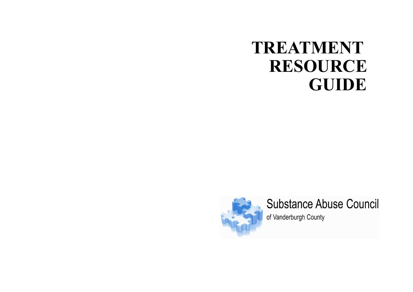## **TREATMENT RESOURCE GUIDE**



# **Substance Abuse Council**

of Vanderburgh County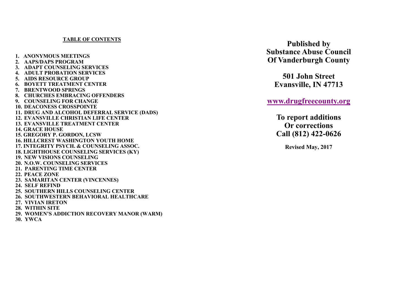### **TABLE OF CONTENTS**

**1. ANONYMOUS MEETINGS 2. AAPS/DAPS PROGRAM 3. ADAPT COUNSELING SERVICES 4. ADULT PROBATION SERVICES 5. AIDS RESOURCE GROUP 6. BOYETT TREATMENT CENTER 7. BRENTWOOD SPRINGS 8. CHURCHES EMBRACING OFFENDERS 9. COUNSELING FOR CHANGE 10. DEACONESS CROSSPOINTE 11. DRUG AND ALCOHOL DEFERRAL SERVICE (DADS) 12. EVANSVILLE CHRISTIAN LIFE CENTER 13. EVANSVILLE TREATMENT CENTER 14. GRACE HOUSE 15. GREGORY P. GORDON, LCSW 16. HILLCREST WASHINGTON YOUTH HOME 17. INTEGRITY PSYCH. & COUNSELING ASSOC. 18. LIGHTHOUSE COUNSELING SERVICES (KY) 19. NEW VISIONS COUNSELING 20. N.O.W. COUNSELING SERVICES 21. PARENTING TIME CENTER 22. PEACE ZONE 23. SAMARITAN CENTER (VINCENNES) 24. SELF REFIND 25. SOUTHERN HILLS COUNSELING CENTER 26. SOUTHWESTERN BEHAVIORAL HEALTHCARE 27. VIVIAN IRETON 28. WITHIN SITE 29. WOMEN'S ADDICTION RECOVERY MANOR (WARM)**

**30. YWCA**

**Published by Substance Abuse Council Of Vanderburgh County**

**501 John Street Evansville, IN 47713**

**[www.drugfreecounty.org](http://www.drugfreecounty.org)**

**To report additions Or corrections Call (812) 422-0626**

**Revised May, 2017**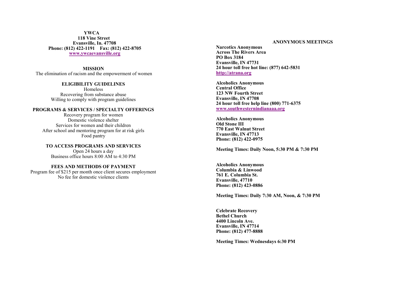**YWCA 118 Vine Street Evansville, In. 47708 Phone: (812) 422-1191 Fax: (812) 422-8705 [www.ywcaevansville.org](http://www.ywcaevansville.org)**

**MISSION** The elimination of racism and the empowerment of women

> **ELIGIBILITY GUIDELINES** Homeless Recovering from substance abuse Willing to comply with program guidelines

#### **PROGRAMS & SERVICES / SPECIALTY OFFERINGS**

Recovery program for women Domestic violence shelter Services for women and their children After school and mentoring program for at risk girls Food pantry

**TO ACCESS PROGRAMS AND SERVICES** Open 24 hours a day Business office hours 8:00 AM to 4:30 PM

#### **FEES AND METHODS OF PAYMENT**

Program fee of \$215 per month once client secures employment No fee for domestic violence clients

#### **ANONYMOUS MEETINGS**

**Narcotics Anonymous Across The Rivers Area PO Box 3184 Evansville, IN 47731 24 hour toll free hot line: (877) 642-5831 <http://atrana.org>**

**Alcoholics Anonymous Central Office 123 NW Fourth Street Evansville, IN 47708 24 hour toll free help line (800) 771-6375 [www.southwesternindianaaa.org](http://www.southwesternindianaaa.org)**

**Alcoholics Anonymous Old Stone III 770 East Walnut Street Evansville, IN 47713 Phone: (812) 422-0975**

**Meeting Times: Daily Noon, 5:30 PM & 7:30 PM**

**Alcoholics Anonymous Columbia & Linwood 761 E. Columbia St. Evansville, 47710 Phone: (812) 423-0886**

**Meeting Times: Daily 7:30 AM, Noon, & 7:30 PM**

**Celebrate Recovery Bethel Church 4400 Lincoln Ave. Evansville, IN 47714 Phone: (812) 477-8888**

**Meeting Times: Wednesdays 6:30 PM**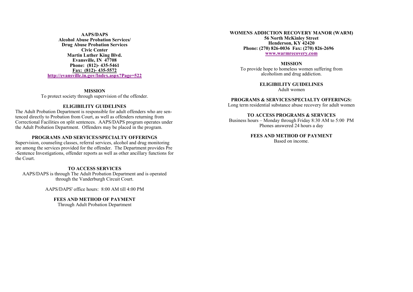**AAPS/DAPS Alcohol Abuse Probation Services/ Drug Abuse Probation Services Civic Center Martin Luther King Blvd. Evansville, IN 47708 Phone: (812)- 435-5461 [Fax: \(812\)](http://evansville.in.gov/Index.aspx?Page=522)- 435-5572 <http://evansville.in.gov/Index.aspx?Page=522>**

**MISSION** To protect society through supervision of the offender.

#### **ELIGIBILITY GUIDELINES**

The Adult Probation Department is responsible for adult offenders who are sentenced directly to Probation from Court, as well as offenders returning from Correctional Facilities on split sentences. AAPS/DAPS program operates under the Adult Probation Department. Offenders may be placed in the program.

#### **PROGRAMS AND SERVICES/SPECIALTY OFFERINGS**

Supervision, counseling classes, referral services, alcohol and drug monitoring are among the services provided for the offender. The Department provides Pre -Sentence Investigations, offender reports as well as other ancillary functions for the Court.

#### **TO ACCESS SERVICES**

AAPS/DAPS is through The Adult Probation Department and is operated through the Vanderburgh Circuit Court.

AAPS/DAPS' office hours: 8:00 AM till 4:00 PM

#### **FEES AND METHOD OF PAYMENT**

Through Adult Probation Department

**WOMENS ADDICTION RECOVERY MANOR (WARM) 56 North McKinley Street Henderson, KY 42420 Phone: (270) 826-0036 Fax: (270) 826-2696 [www.warmrecovery.com](http://www.warmrecovery.com)**

**MISSION** To provide hope to homeless women suffering from alcoholism and drug addiction.

> **ELIGIBILITY GUIDELINES** Adult women

#### **PROGRAMS & SERVICES/SPECIALTY OFFERINGS:**

Long term residential substance abuse recovery for adult women

#### **TO ACCESS PROGRAMS & SERVICES**

Business hours – Monday through Friday 8:30 AM to 5:00 PM Phones answered 24 hours a day

> **FEES AND METHOD OF PAYMENT** Based on income.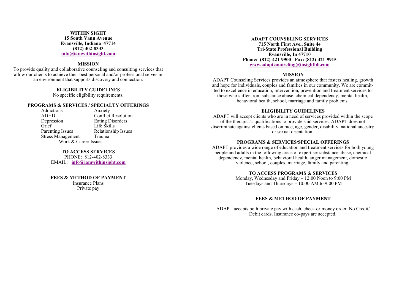#### **WITHIN SIGHT 15 South Vann Avenue Evansville, Indiana 47714 (812) 402-8333 [info@iamwithinsight.com](http://www.iamwithinsight.com/)**

#### **MISSION**

To provide quality and collaborative counseling and consulting services that allow our clients to achieve their best personal and/or professional selves in an environment that supports discovery and connection.

#### **ELIGIBILITY GUIDELINES**

No specific eligibility requirements.

#### **PROGRAMS & SERVICES / SPECIALTY OFFERINGS**

Addictions Anxiety<br>ADHD Conflict ADHD Conflict Resolution<br>Depression Eating Disorders Depression Eating Disorders<br>
Grief Life Skills Grief Life Skills<br>
Parenting Issues Relationshi Relationship Issues Stress Management Trauma Work & Career Issues

#### **TO ACCESS SERVICES**

PHONE: 812-402-8333 EMAIL: **[info@iamwithinsight.com](http://www.iamwithinsight.com/)**

#### **FEES & METHOD OF PAYMENT**

Insurance Plans Private pay

**ADAPT COUNSELING SERVICES 715 North First Ave., Suite 44 Tri-State Professional Building Evansville, In 47710 Phone: (812)-421-9900 Fax: (812)-421-9915 [www.adaptcounseling@insightbb.com](http://www.adaptcounseling@insightbb.com)**

#### **MISSION**

ADAPT Counseling Services provides an atmosphere that fosters healing, growth and hope for individuals, couples and families in our community. We are committed to excellence in education, intervention, prevention and treatment services to those who suffer from substance abuse, chemical dependency, mental health, behavioral health, school, marriage and family problems.

#### **ELIGIBILITY GUIDELINES**

ADAPT will accept clients who are in need of services provided within the scope of the therapist's qualifications to provide said services. ADAPT does not discriminate against clients based on race, age, gender, disability, national ancestry or sexual orientation.

#### **PROGRAMS & SERVICES/SPECIAL OFFERINGS**

ADAPT provides a wide range of education and treatment services for both young people and adults in the following areas of expertise: substance abuse, chemical dependency, mental health, behavioral health, anger management, domestic violence, school, couples, marriage, family and parenting.

#### **TO ACCESS PROGRAMS & SERVICES**

Monday, Wednesday and Friday – 12:00 Noon to 9:00 PM Tuesdays and Thursdays – 10:00 AM to 9:00 PM

#### **FEES & METHOD OF PAYMENT**

ADAPT accepts both private pay with cash, check or money order. No Credit/ Debit cards. Insurance co-pays are accepted.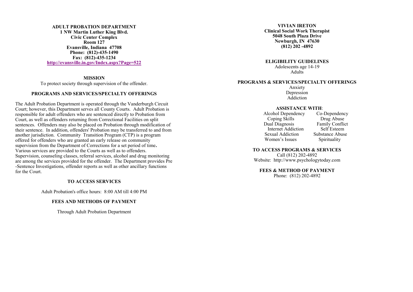**ADULT PROBATION DEPARTMENT 1 NW Martin Luther King Blvd. Civic Center Complex Room 127 Evansville, Indiana 47708 Phone: (812)-435-1490 Fax: (812)-435-1234 <http://evansville.in.gov/Index.aspx?Page=522>**

**MISSION** 

To protect society through supervision of the offender.

#### **PROGRAMS AND SERVICES/SPECIALTY OFFERINGS**

The Adult Probation Department is operated through the Vanderburgh Circuit Court; however, this Department serves all County Courts. Adult Probation is responsible for adult offenders who are sentenced directly to Probation from Court, as well as offenders returning from Correctional Facilities on split sentences. Offenders may also be placed on Probation through modification of their sentence. In addition, offenders' Probation may be transferred to and from another jurisdiction. Community Transition Program (CTP) is a program offered for offenders who are granted an early release on community supervision from the Department of Corrections for a set period of time**.** Various services are provided to the Courts as well as to offenders. Supervision, counseling classes, referral services, alcohol and drug monitoring are among the services provided for the offender. The Department provides Pre -Sentence Investigations, offender reports as well as other ancillary functions for the Court.

#### **TO ACCESS SERVICES**

Adult Probation's office hours: 8:00 AM till 4:00 PM

#### **FEES AND METHODS OF PAYMENT**

Through Adult Probation Department

**VIVIAN IRETON Clinical Social Work Therapist 5048 South Plaza Drive Newburgh, IN 47630 (812) 202 -4892**

**ELIGIBILITY GUIDELINES** Adolescents age 14-19 Adults

#### **PROGRAMS & SERVICES/SPECIALTY OFFERINGS**

Anxiety Depression Addiction

### **ASSISTANCE WITH:**<br> **co-Dependency Co-Dependency**

Alcohol Dependency Co-Dependency<br>Coping Skills Drug Abuse Coping Skills<br>Dual Diagnosis Internet Addiction Self Esteem<br>
Substance Abuse<br>
Substance Abuse Sexual Addiction Women's Issues Spirituality

Family Conflict<br>Self Esteem

#### **TO ACCESS PROGRAMS & SERVICES**

Call (812) 202-4892 Website: http://www.psychologytoday.com

#### **FEES & METHOD OF PAYMENT**

Phone: (812) 202-4892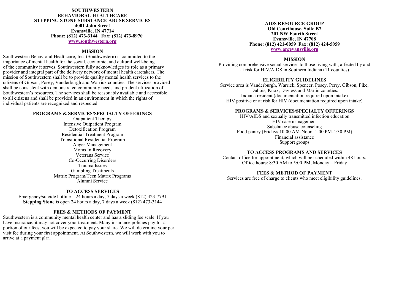#### **SOUTHWESTERN BEHAVIORAL HEALTHCARE STEPPING STONE SUBSTANCE ABUSE SERVICES 4001 John Street Evansville, IN 47714 Phone: (812) 473-3144 Fax: (812) 473-8970 [www.southwestern.org](http://www.southwestern.org)**

#### **MISSION**

Southwestern Behavioral Healthcare, Inc. (Southwestern) is committed to the importance of mental health for the social, economic, and cultural well-being of the community it serves. Southwestern fully acknowledges its role as a primary provider and integral part of the delivery network of mental health caretakers. The mission of Southwestern shall be to provide quality mental health services to the citizens of Gibson, Posey, Vanderburgh and Warrick counties. The services provided shall be consistent with demonstrated community needs and prudent utilization of Southwestern's resources. The services shall be reasonably available and accessible to all citizens and shall be provided in an environment in which the rights of individual patients are recognized and respected.

#### **PROGRAMS & SERVICES/SPECIALTY OFFERINGS**

Outpatient Therapy Intensive Outpatient Program Detoxification Program Residential Treatment Program Transitional Residential Program Anger Management Moms In Recovery Veterans Service Co-Occurring Disorders Trauma Issues Gambling Treatments Matrix Program/Teen Matrix Programs Alumni Service

#### **TO ACCESS SERVICES**

Emergency/suicide hotline – 24 hours a day, 7 days a week (812) 423-7791 **Stepping Stone** is open 24 hours a day, 7 days a week (812) 473-3144

#### **FEES & METHODS OF PAYMENT**

Southwestern is a community mental health center and has a sliding fee scale. If you have insurance, it may not cover your treatment. Many insurance policies pay for a portion of our fees, you will be expected to pay your share. We will determine your per visit fee during your first appointment. At Southwestern, we will work with you to arrive at a payment plan.

#### **AIDS RESOURCE GROUP Old Courthouse, Suite B7 201 NW Fourth Street Evansville, IN 47708 Phone: (812) 421-0059 Fax: (812) 424-5059 [www.argevansville.org](http://www.argevansville.org)**

#### **MISSION**

Providing comprehensive social services to those living with, affected by and at risk for HIV/AIDS in Southern Indiana (11 counties)

#### **ELIGIBILITY GUIDELINES**

Service area is Vanderburgh, Warrick, Spencer, Posey, Perry, Gibson, Pike, Dubois, Knox, Daviess and Martin counties. Indiana resident (documentation required upon intake) HIV positive or at risk for HIV (documentation required upon intake)

#### **PROGRAMS & SERVICES/SPECIALTY OFFERINGS**

HIV/AIDS and sexually transmitted infection education HIV case management Substance abuse counseling Food pantry (Fridays 10:00 AM-Noon, 1:00 PM-4:30 PM) Financial assistance Support groups

#### **TO ACCESS PROGRAMS AND SERVICES**

Contact office for appointment, which will be scheduled within 48 hours, Office hours: 8:30 AM to 5:00 PM, Monday – Friday

#### **FEES & METHOD OF PAYMENT**

Services are free of charge to clients who meet eligibility guidelines.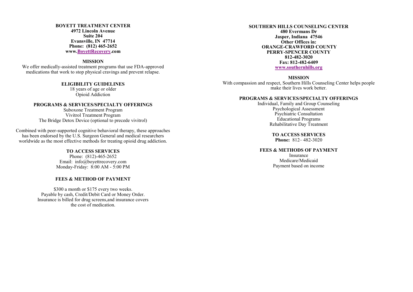**BOYETT TREATMENT CENTER 4972 Lincoln Avenue Suite 204 Evansville, IN 47714 Phone: (812) 465-2652 www.[BoyettRecovery.](https://www.boyettrecovery.com/)com**

#### **MISSION**

We offer medically-assisted treatment programs that use FDA-approved medications that work to stop physical cravings and prevent relapse.

> **ELIGIBILITY GUIDELINES** 18 years of age or older Opioid Addiction

**PROGRAMS & SERVICES/SPECIALTY OFFERINGS** Suboxone Treatment Program Vivitrol Treatment Program The Bridge Detox Device (optional to precede vivitrol)

Combined with peer-supported cognitive behavioral therapy, these approaches has been endorsed by the U.S. Surgeon General and medical researchers worldwide as the most effective methods for treating opioid drug addiction.

#### **TO ACCESS SERVICES**

Phone: (812)-465-2652 Email: info@boyettrecovery.com Monday-Friday: 8:00 AM - 5:00 PM

#### **FEES & METHOD OF PAYMENT**

\$300 a month or \$175 every two weeks. Payable by cash, Credit/Debit Card or Money Order. Insurance is billed for drug screens,and insurance covers the cost of medication.

#### **SOUTHERN HILLS COUNSELING CENTER 480 Evermans Dr Jasper, Indiana 47546 Other Offices in: ORANGE-CRAWFORD COUNTY PERRY-SPENCER COUNTY 812-482-3020 Fax: 812-482-6409 [www.southernhills.org](http://www.southernhills.org/)**

#### **MISSION**

With compassion and respect, Southern Hills Counseling Center helps people make their lives work better.

#### **PROGRAMS & SERVICES/SPECIALTY OFFERINGS**

Individual, Family and Group Counseling Psychological Assessment Psychiatric Consultation Educational Programs Rehabilitative Day Treatment

> **TO ACCESS SERVICES Phone:** 812– 482-3020

#### **FEES & METHODS OF PAYMENT**

Insurance Medicare/Medicaid Payment based on income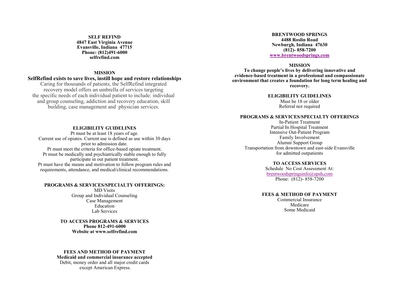**SELF REFIND 4847 East Virginia Avenue Evansville, Indiana 47715 Phone: (812)491-6000 selfrefind.com**

#### **MISSION**

#### **SelfRefind exists to save lives, instill hope and restore relationships**

Caring for thousands of patients, the SelfRefind integrated recovery model offers an umbrella of services targeting the specific needs of each individual patient to include: individual and group counseling, addiction and recovery education, skill building, case management and physician services.

#### **ELIGIBILITY GUIDELINES**

Pt must be at least 18 years of age. Current use of opiates. Current use is defined as use within 30 days prior to admission date. Pt must meet the criteria for office-based opiate treatment. Pt must be medically and psychiatrically stable enough to fully participate in out patient treatment. Pt must have the means and motivation to follow program rules and requirements, attendance, and medical/clinical recommendations.

#### **PROGRAMS & SERVICES/SPECIALTY OFFERINGS:**  MD Visits Group and Individual Counseling Case Management Education Lab Services

**TO ACCESS PROGRAMS & SERVICES Phone 812-491-6000 Website at www.selfrefind.com**

#### **FEES AND METHOD OF PAYMENT Medicaid and commercial insurance accepted** Debit, money order and all major credit cards except American Express.

**BRENTWOOD SPRINGS 4488 Roslin Road Newburgh, Indiana 47630 (812)- 858-7200 [www.brentwoodsprings.com](http://www.brentwoodsprings.com/)**

#### **MISSION**

**To change people's lives by delivering innovative and evidence-based treatment in a professional and compassionate environment that creates a foundation for long term healing and recovery.**

**ELIGIBILITY GUIDELINES**

Must be 18 or older Referral not required

#### **PROGRAMS & SERVICES/SPECIALTY OFFERINGS**

In-Patient Treatment Partial In Hospital Treatment Intensive Out-Patient Program Family Involvement Alumni Support Group Transportation from downtown and east-side Evansville for admitted outpatients

#### **TO ACCESS SERVICES**

Schedule No Cost Assessment At: [brentwoodspringsinfo@spsh](mailto:brentwoodspringsinfo@spsh.com)**.**com Phone: (812)- 858-7200

#### **FEES & METHOD OF PAYMENT**

Commercial Insurance Medicare Some Medicaid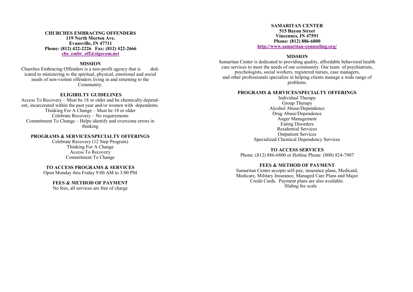#### **CHURCHES EMBRACING OFFENDERS 119 North Morton Ave. Evansville, IN 47711 Phone: (812) 422-2226 Fax: (812) 422-2666 [chs\\_embr\\_off@sigecom.net](mailto:chs_embr_off@sigecom.net)**

#### **MISSION**

Churches Embracing Offenders is a non-profit agency that is dedicated to ministering to the spiritual, physical, emotional and social needs of non-violent offenders living in and returning to the Community.

#### **ELIGIBILTY GUIDELINES**

Access To Recovery – Must be 18 or older and be chemically dependent, incarcerated within the past year and/or women with dependents. Thinking For A Change – Must be 18 or older Celebrate Recovery – No requirements Commitment To Change – Helps identify and overcome errors in thinking

#### **PROGRAMS & SERVICES/SPECIALTY OFFERINGS**

Celebrate Recovery (12 Step Program) Thinking For A Change Access To Recovery Commitment To Change

#### **TO ACCESS PROGRAMS & SERVICES**

Open Monday thru Friday 9:00 AM to 3:00 PM

#### **FEES & METHOD OF PAYMENT**

No fees, all services are free of charge

**SAMARITAN CENTER 515 Bayou Street Vincennes, IN 47591 Phone: (812) 886-6800 [http://www.samaritan](http://www.samaritan-counseling.org/)-counseling.org/**

#### **MISSION**

Samaritan Center is dedicated to providing quality, affordable behavioral health care services to meet the needs of our community. Our team of psychiatrists, psychologists, social workers, registered nurses, case managers, and other professionals specialize in helping clients manage a wide range of problems.

#### **PROGRAMS & SERVICES/SPECIALTY OFFERINGS**

Individual Therapy Group Therapy Alcohol Abuse/Dependence Drug Abuse/Dependence Anger Management Eating Disorders Residential Services Outpatient Services Specialized Chemical Dependency Services

#### **TO ACCESS SERVICES**

Phone: (812) 886-6800 or Hotline Phone: (800) 824-7907

#### **FEES & METHOD OF PAYMENT**

Samaritan Center accepts self-pay, insurance plans, Medicaid, Medicare, Military Insurance, Managed Care Plans and Major Credit Cards. Payment plans are also available. Sliding fee scale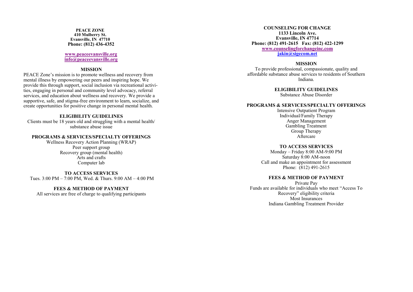**PEACE ZONE 410 Mulberry St. Evansville, IN 47710 Phone: (812) 436 -4352**

> **[www.peaceevansville.org](http://www.peaceevansville.org) [info@peaceevansville.org](mailto:info@peaceevansville.org)**

#### **MISSION**

PEACE Zone 's mission is to promote wellness and recovery from mental illness by empowering our peers and inspiring hope. We provide this through support, social inclusion via recreational activities, engaging in personal and community level advocacy, referral services, and education about wellness and recovery. We provide a supportive, safe, and stigma -free environment to learn, socialize, and create opportunities for positive change in personal mental health.

#### **ELIGIBILITY GUIDELINES**

Clients must be 18 years old and struggling with a mental health/ substance abuse issue

#### **PROGRAMS & SERVICES/SPECIALTY OFFERINGS**

Wellness Recovery Action Planning (WRAP) Peer support group Recovery group (mental health) Arts and crafts Computer lab

**TO ACCESS SERVICES** Tues. 3:00 PM – 7:00 PM, Wed. & Thurs. 9:00 AM – 4:00 PM

#### **FEES & METHOD OF PAYMENT**

All services are free of charge to qualifying participants

**COUNSELING FOR CHANGE 1133 Lincoln Ave. Evansville, IN 47714 Phone: (812) 491 -2615 Fax: (812) 422 -1299 [www.counselingforchangeinc.com](http://www.counselingforchangeinc.com) jakin@sigecom.net**

#### **MISSION**

To provide professional, compassionate, quality and affordable substance abuse services to residents of Southern Indiana.

**ELIGIBILITY GUIDELINES**

Substance Abuse Disorder

#### **PROGRAMS & SERVICES/SPECIALTY OFFERINGS**

Intensive Outpatient Program Individual/Family Therapy Anger Management Gambling Treatment Group Therapy Aftercare

#### **TO ACCESS SERVICES**

Monday – Friday 8:00 AM -9:00 PM Saturday 8:00 AM -noon Call and make an appointment for assessment Phone: (812) 491 -2615

#### **FEES & METHOD OF PAYMENT**

Private Pay Funds are available for individuals who meet "Access To Recovery" eligibility criteria Most Insurances Indiana Gambling Treatment Provider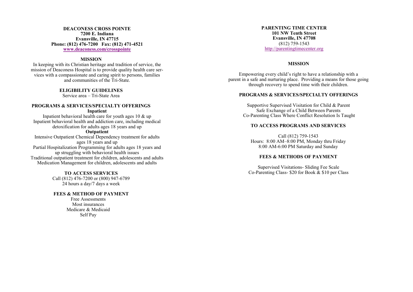#### **DEACONESS CROSS POINTE 7200 E. Indiana Evansville, IN 47715 Phone: (812) 476-7200 Fax: (812) 471-4521 [www.deaconess.com/crosspointe](http://www.deaconess.com/crosspointe)**

#### **MISSION**

In keeping with its Christian heritage and tradition of service, the mission of Deaconess Hospital is to provide quality health care services with a compassionate and caring spirit to persons, families and communities of the Tri-State.

#### **ELIGIBILITY GUIDELINES**

Service area – Tri-State Area

#### **PROGRAMS & SERVICES/SPECIALTY OFFERINGS Inpatient**

Inpatient behavioral health care for youth ages 10 & up Inpatient behavioral health and addiction care, including medical detoxification for adults ages 18 years and up

#### **Outpatient**

Intensive Outpatient Chemical Dependency treatment for adults ages 18 years and up Partial Hospitalization Programming for adults ages 18 years and up struggling with behavioral health issues Traditional outpatient treatment for children, adolescents and adults Medication Management for children, adolescents and adults

#### **TO ACCESS SERVICES**

Call (812) 476-7200 or (800) 947-6789 24 hours a day/7 days a week

#### **FEES & METHOD OF PAYMENT**

Free Assessments Most insurances Medicare & Medicaid Self Pay

**PARENTING TIME CENTER 101 NW Tenth Street Evansville, IN 47708**  (812) 759-1543 <http://parentingtimecenter.org>

#### **MISSION**

Empowering every child's right to have a relationship with a parent in a safe and nurturing place. Providing a means for those going through recovery to spend time with their children.

#### **PROGRAMS & SERVICES/SPECIALTY OFFERINGS**

Supportive Supervised Visitation for Child & Parent Safe Exchange of a Child Between Parents Co-Parenting Class Where Conflict Resolution Is Taught

#### **TO ACCESS PROGRAMS AND SERVICES**

Call (812) 759-1543 Hours: 8:00 AM–8:00 PM, Monday thru Friday 8:00 AM-6:00 PM Saturday and Sunday

#### **FEES & METHODS OF PAYMENT**

Supervised Visitations- Sliding Fee Scale Co-Parenting Class- \$20 for Book & \$10 per Class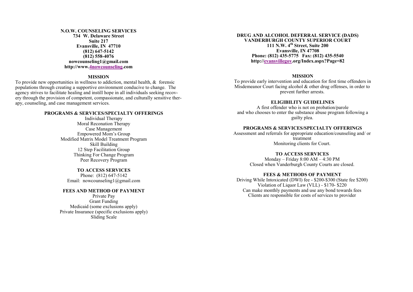#### **N.O.W. COUNSELING SERVICES 734 W. Delaware Street Suite 217 Evansville, IN 47710 (812) 647-5142 (812) 558-4076 nowcounseling1@gmail.com http://www[.4nowcounseling.c](http://4nowcounseling.com/)om**

#### **MISSION**

To provide new opportunities in wellness to addiction, mental health, & forensic populations through creating a supportive environment conducive to change. The agency strives to facilitate healing and instill hope in all individuals seeking recovery through the provision of competent, compassionate, and culturally sensitive therapy, counseling, and case management services.

#### **PROGRAMS & SERVICES/SPECIALTY OFFERINGS**

Individual Therapy Moral Reconation Therapy Case Management Empowered Mom's Group Modified Matrix Model Treatment Program Skill Building 12 Step Facilitation Group Thinking For Change Program Peer Recovery Program

#### **TO ACCESS SERVICES**

Phone: (812) 647-5142 Email: nowcounseling1@gmail.com

#### **FEES AND METHOD OF PAYMENT**

Private Pay Grant Funding Medicaid (some exclusions apply) Private Insurance (specific exclusions apply) Sliding Scale

#### **DRUG AND ALCOHOL DEFERRAL SERVICE (DADS) VANDERBURGH COUNTY SUPERIOR COURT 111 N.W. 4th Street, Suite 200 Evansville, IN 47708 Phone: (812) 435-5775 Fax: (812) 435-5540 http:/[/evansvillegov.o](http://evansvillegov.org/Index.aspx?Page=82)rg/Index.aspx?Page=82**

#### **MISSION**

To provide early intervention and education for first time offenders in Misdemeanor Court facing alcohol & other drug offenses, in order to prevent further arrests.

#### **ELIGIBILITY GUIDELINES**

A first offender who is not on probation/parole and who chooses to enter the substance abuse program following a guilty plea.

#### **PROGRAMS & SERVICES/SPECIALTY OFFERINGS**

Assessment and referrals for appropriate education/counseling and/ or treatment Monitoring clients for Court.

#### **TO ACCESS SERVICES**

Monday – Friday 8:00 AM – 4:30 PM Closed when Vanderburgh County Courts are closed.

#### **FEES & METHODS OF PAYMENT**

Driving While Intoxicated (DWI) fee - \$200-\$300 (State fee \$200) Violation of Liquor Law (VLL) - \$170- \$220 Can make monthly payments and use any bond towards fees Clients are responsible for costs of services to provider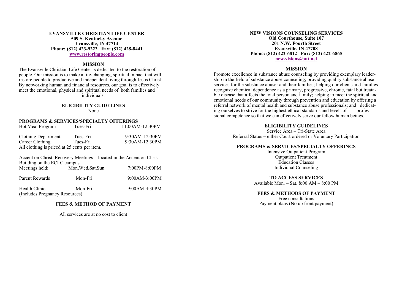#### **EVANSVILLE CHRISTIAN LIFE CENTER 509 S. Kentucky Avenue Evansville, IN 47714 Phone: (812) 423-9222 Fax: (812) 428-8441 [www.restoringpeople.com](http://www.restoringpeople.com)**

#### **MISSION**

The Evansville Christian Life Center is dedicated to the restoration of people. Our mission is to make a life-changing, spiritual impact that will restore people to productive and independent living through Jesus Christ. By networking human and financial resources, our goal is to effectively meet the emotional, physical and spiritual needs of both families and individuals.

#### **ELIGIBILITY GUIDELINES** None

#### **PROGRAMS & SERVICES/SPECIALTY OFFERINGS**

| Hot Meal Program                                                                                  | Tues-Fri           | 11:00AM-12:30PM |  |
|---------------------------------------------------------------------------------------------------|--------------------|-----------------|--|
| <b>Clothing Department</b>                                                                        | Tues-Fri           | 9:30AM-12:30PM  |  |
| Career Clothing                                                                                   | Tues-Fri           | 9:30AM-12:30PM  |  |
| All clothing is priced at 25 cents per item.                                                      |                    |                 |  |
| Accent on Christ Recovery Meetings—located in the Accent on Christ<br>Building on the ECLC campus |                    |                 |  |
| Meetings held:                                                                                    | Mon. Wed. Sat. Sun | 7:00PM-8:00PM   |  |
| Parent Rewards                                                                                    | Mon-Fri            | 9:00AM-3:00PM   |  |

Health Clinic Mon-Fri 9:00AM-4:30PM (Includes Pregnancy Resources)

#### **FEES & METHOD OF PAYMENT**

All services are at no cost to client

#### **NEW VISIONS COUNSELING SERVICES Old Courthouse, Suite 107 201 N.W. Fourth Street Evansville, IN 47708 Phone: (812) 422-6812 Fax: (812) 422-6865 [new.visions@att.net](mailto:new.visions@att.net)**

#### **MISSION**

Promote excellence in substance abuse counseling by providing exemplary leadership in the field of substance abuse counseling; providing quality substance abuse services for the substance abuser and their families; helping our clients and families recognize chemical dependence as a primary, progressive, chronic, fatal but treatable disease that affects the total person and family; helping to meet the spiritual and emotional needs of our community through prevention and education by offering a referral network of mental health and substance abuse professionals; and dedicating ourselves to strive for the highest ethical standards and levels of profesing ourselves to strive for the highest ethical standards and levels of sional competence so that we can effectively serve our fellow human beings.

#### **ELIGIBILITY GUIDELINES**

Service Area – Tri-State Area Referral Status – either Court ordered or Voluntary Participation

#### **PROGRAMS & SERVICES/SPECIALTY OFFERINGS**

Intensive Outpatient Program Outpatient Treatment Education Classes Individual Counseling

### **TO ACCESS SERVICES**

Available Mon. – Sat. 8:00 AM – 8:00 PM

#### **FEES & METHODS OF PAYMENT**

Free consultations Payment plans (No up front payment)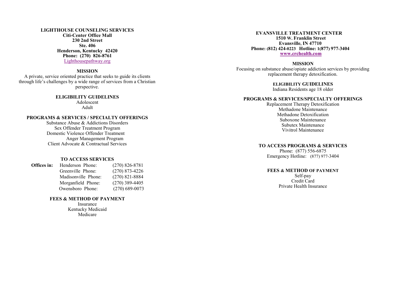#### **LIGHTHOUSE COUNSELING SERVICES Citi -Center Office Mall 230 2nd Street Ste. 406 Henderson, Kentucky 42420 Phone: (270) 826 -8761** [Lighthousepathway.org](http://www.lighthousepathway.org/)

#### **MISSION**

A private, service oriented practice that seeks to guide its clients through life 's challenges by a wide range of services from a Christian perspective.

**ELIGIBILITY GUIDELINES**

Adolescent Adult

#### **PROGRAMS & SERVICES / SPECIALTY OFFERINGS**

Substance Abuse & Addictions Disorders Sex Offender Treatment Program Domestic Violence Offender Treatment Anger Management Program Client Advocate & Contractual Services

#### **TO ACCESS SERVICES**

| Offices in: | Henderson Phone:    | $(270) 826 - 8781$ |
|-------------|---------------------|--------------------|
|             | Greenville Phone:   | $(270)$ 873-4226   |
|             | Madisonville Phone: | $(270)$ 821-8884   |
|             | Morganfield Phone:  | $(270)$ 389-4405   |
|             | Owensboro Phone:    | $(270)$ 689-0073   |
|             |                     |                    |

#### **FEES & METHOD OF PAYMENT**

Insurance Kentucky Medicaid Medicare

#### **EVANSVILLE TREATMENT CENTER 1510 W. Franklin Street Evansville, IN 47710 Phone: (812) 424 -0223 Hotline: 1(877) 977 -3404 [www.crchealth.com](http://www.crchealth.com)**

#### **MISSION**

Focusing on substance abuse/opiate addiction services by providing replacement therapy detoxification.

#### **ELIGIBILITY GUIDELINES**

Indiana Residents age 18 older

#### **PROGRAMS & SERVICES/SPECIALTY OFFERINGS**

Replacement Therapy Detoxification Methadone Maintenance Methadone Detoxification Suboxone Maintenance Subutex Maintenance Vivitrol Maintenance

#### **TO ACCESS PROGRAMS & SERVICES**

Phone: (877) 556 -6875 Emergency Hotline: (877) 977 -3404

#### **FEES & METHOD OF PAYMENT**

Self-pay Credit Card Private Health Insurance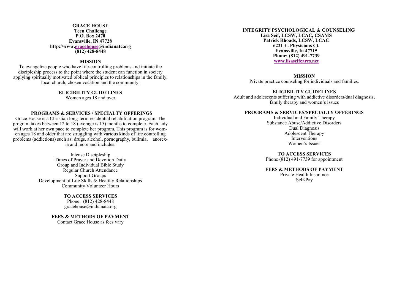#### **GRACE HOUSE Teen Challenge P.O. Box 2470 Evansville, IN 47728 http://www.[gracehouse@i](http://www.indianatc.org/centers/GraceHouse)ndianatc.org (812) 428-8448**

#### **MISSION**

To evangelize people who have life-controlling problems and initiate the discipleship process to the point where the student can function in society applying spiritually motivated biblical principles to relationships in the family, local church, chosen vocation and the community.

#### **ELIGIBILITY GUIDELINES**

Women ages 18 and over

#### **PROGRAMS & SERVICES / SPECIALTY OFFERINGS**

Grace House is a Christian long-term residential rehabilitation program. The program takes between 12 to 18 (average is 15) months to complete. Each lady will work at her own pace to complete her program. This program is for women ages 18 and older that are struggling with various kinds of life controlling problems (addictions) such as: drugs, alcohol, pornography, bulimia, anorexia and more and includes:

> Intense Discipleship Times of Prayer and Devotion Daily Group and Individual Bible Study Regular Church Attendance Support Groups Development of Life Skills & Healthy Relationships Community Volunteer Hours

> > **TO ACCESS SERVICES** Phone: (812) 428-8448 gracehouse@indianatc.org

**FEES & METHODS OF PAYMENT** Contact Grace House as fees vary

#### **INTEGRITY PSYCHOLOGICAL & COUNSELING Lisa Seif, LCSW, LCAC, CSAMS Patrick Rhoads, LCSW, LCAC 6221 E. Physicians Ct. Evansville, In 47715 Phone: (812) 491-7739 [www.lisaseifcares.net](http://www.lisaseifcares.net)**

#### **MISSION**

Private practice counseling for individuals and families.

#### **ELIGIBILITY GUIDELINES**

Adult and adolescents suffering with addictive disorders/dual diagnosis, family therapy and women's issues

#### **PROGRAMS & SERVICES/SPECIALTY OFFERINGS**

Individual and Family Therapy Substance Abuse/Addictive Disorders Dual Diagnosis Adolescent Therapy Interventions Women's Issues

**TO ACCESS SERVICES** Phone (812) 491-7739 for appointment

#### **FEES & METHODS OF PAYMENT**

 Private Health Insurance Self-Pay